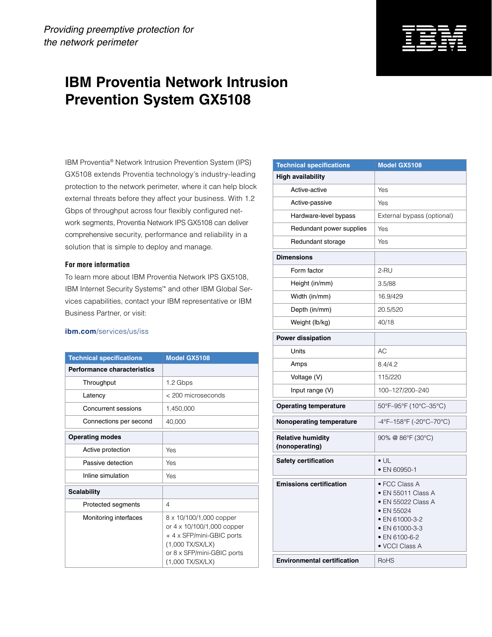## **IBM Proventia Network Intrusion Prevention System GX5108**

IBM Proventia® Network Intrusion Prevention System (IPS) GX5108 extends Proventia technology's industry-leading protection to the network perimeter, where it can help block external threats before they affect your business. With 1.2 Gbps of throughput across four flexibly configured network segments, Proventia Network IPS GX5108 can deliver comprehensive security, performance and reliability in a solution that is simple to deploy and manage.

## **For more information**

To learn more about IBM Proventia Network IPS GX5108, IBM Internet Security Systems™ and other IBM Global Services capabilities, contact your IBM representative or IBM Business Partner, or visit:

## **ibm.com**[/services/us/iss](http://www-935.ibm.com/services/us/index.wss/offerfamily/igs/a1025846)

| <b>Technical specifications</b> | <b>Model GX5108</b>                                                                                                                                        |
|---------------------------------|------------------------------------------------------------------------------------------------------------------------------------------------------------|
| Performance characteristics     |                                                                                                                                                            |
| Throughput                      | 1.2 Gbps                                                                                                                                                   |
| Latency                         | $<$ 200 microseconds                                                                                                                                       |
| Concurrent sessions             | 1,450,000                                                                                                                                                  |
| Connections per second          | 40,000                                                                                                                                                     |
| <b>Operating modes</b>          |                                                                                                                                                            |
| Active protection               | Yes                                                                                                                                                        |
| Passive detection               | Yes                                                                                                                                                        |
| Inline simulation               | Yes                                                                                                                                                        |
| <b>Scalability</b>              |                                                                                                                                                            |
| Protected segments              | 4                                                                                                                                                          |
| Monitoring interfaces           | 8 x 10/100/1,000 copper<br>or 4 x 10/100/1,000 copper<br>+ 4 x SFP/mini-GBIC ports<br>$(1,000$ TX/SX/LX)<br>or 8 x SFP/mini-GBIC ports<br>(1,000 TX/SX/LX) |

| <b>Technical specifications</b>            | Model GX5108                                                                                                                                   |
|--------------------------------------------|------------------------------------------------------------------------------------------------------------------------------------------------|
| <b>High availability</b>                   |                                                                                                                                                |
| Active-active                              | Yes                                                                                                                                            |
| Active-passive                             | Yes                                                                                                                                            |
| Hardware-level bypass                      | External bypass (optional)                                                                                                                     |
| Redundant power supplies                   | Yes                                                                                                                                            |
| Redundant storage                          | Yes                                                                                                                                            |
| <b>Dimensions</b>                          |                                                                                                                                                |
| Form factor                                | 2-RU                                                                                                                                           |
| Height (in/mm)                             | 3.5/88                                                                                                                                         |
| Width (in/mm)                              | 16.9/429                                                                                                                                       |
| Depth (in/mm)                              | 20.5/520                                                                                                                                       |
| Weight (lb/kg)                             | 40/18                                                                                                                                          |
| <b>Power dissipation</b>                   |                                                                                                                                                |
| Units                                      | AС                                                                                                                                             |
| Amps                                       | 8.4/4.2                                                                                                                                        |
| Voltage (V)                                | 115/220                                                                                                                                        |
| Input range (V)                            | 100-127/200-240                                                                                                                                |
| <b>Operating temperature</b>               | 50°F-95°F (10°C-35°C)                                                                                                                          |
| <b>Nonoperating temperature</b>            | -4°F-158°F (-20°C-70°C)                                                                                                                        |
| <b>Relative humidity</b><br>(nonoperating) | 90% @ 86°F (30°C)                                                                                                                              |
| <b>Safety certification</b>                | $\bullet$ UL<br>• EN 60950-1                                                                                                                   |
| <b>Emissions certification</b>             | • FCC Class A<br>• EN 55011 Class A<br>• EN 55022 Class A<br>• EN 55024<br>• EN 61000-3-2<br>• EN 61000-3-3<br>• EN 6100-6-2<br>• VCCI Class A |
| <b>Environmental certification</b>         | <b>RoHS</b>                                                                                                                                    |